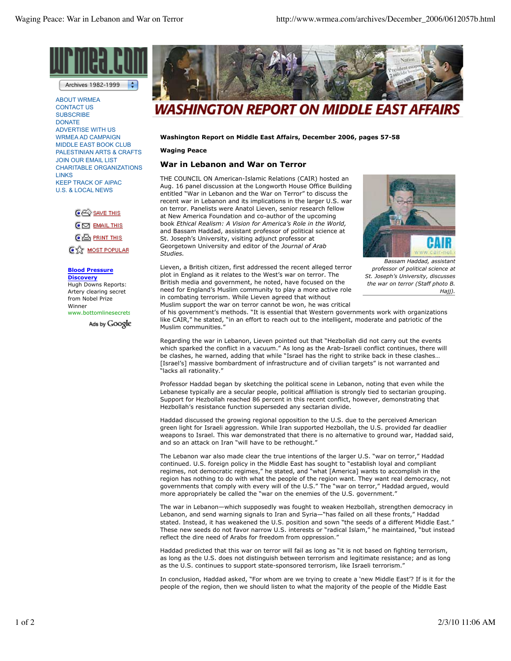

÷ Archives 1982-1999

ABOUT WRMEA CONTACT US **SUBSCRIBE DONATE** ADVERTISE WITH US WRMEA AD CAMPAIGN MIDDLE EAST BOOK CLUB PALESTINIAN ARTS & CRAFTS JOIN OUR EMAIL LIST CHARITABLE ORGANIZATIONS **LINKS** KEEP TRACK OF AIPAC U.S. & LOCAL NEWS

> $\mathbb{C}\overline{\leftrightarrow}$  save this  $\mathbf{\overline{C}}$   $\mathbf{\Sigma}$  EMAIL THIS  $\mathbf{CD}$  PRINT THIS **C**<sub>22</sub> MOST POPULAR

## **Blood Pressure**

**Discovery** Hugh Downs Reports: Artery clearing secret from Nobel Prize Winner www.bottomlinesecrets

Ads by Google



## WASHINGTON REPORT ON MIDDLE EAST AFFAIRS

**Washington Report on Middle East Affairs, December 2006, pages 57-58**

**Waging Peace**

## **War in Lebanon and War on Terror**

THE COUNCIL ON American-Islamic Relations (CAIR) hosted an Aug. 16 panel discussion at the Longworth House Office Building entitled "War in Lebanon and the War on Terror" to discuss the recent war in Lebanon and its implications in the larger U.S. war on terror. Panelists were Anatol Lieven, senior research fellow at New America Foundation and co-author of the upcoming book *Ethical Realism: A Vision for America's Role in the World,* and Bassam Haddad, assistant professor of political science at St. Joseph's University, visiting adjunct professor at Georgetown University and editor of the *Journal of Arab Studies.*



Lieven, a British citizen, first addressed the recent alleged terror plot in England as it relates to the West's war on terror. The British media and government, he noted, have focused on the need for England's Muslim community to play a more active role in combating terrorism. While Lieven agreed that without Muslim support the war on terror cannot be won, he was critical

*Bassam Haddad, assistant professor of political science at St. Joseph's University, discusses the war on terror (Staff photo B. Hajj).*

of his government's methods. "It is essential that Western governments work with organizations like CAIR," he stated, "in an effort to reach out to the intelligent, moderate and patriotic of the Muslim communities."

Regarding the war in Lebanon, Lieven pointed out that "Hezbollah did not carry out the events which sparked the conflict in a vacuum." As long as the Arab-Israeli conflict continues, there will be clashes, he warned, adding that while "Israel has the right to strike back in these clashes… [Israel's] massive bombardment of infrastructure and of civilian targets" is not warranted and "lacks all rationality."

Professor Haddad began by sketching the political scene in Lebanon, noting that even while the Lebanese typically are a secular people, political affiliation is strongly tied to sectarian grouping. Support for Hezbollah reached 86 percent in this recent conflict, however, demonstrating that Hezbollah's resistance function superseded any sectarian divide.

Haddad discussed the growing regional opposition to the U.S. due to the perceived American green light for Israeli aggression. While Iran supported Hezbollah, the U.S. provided far deadlier weapons to Israel. This war demonstrated that there is no alternative to ground war, Haddad said, and so an attack on Iran "will have to be rethought."

The Lebanon war also made clear the true intentions of the larger U.S. "war on terror," Haddad continued. U.S. foreign policy in the Middle East has sought to "establish loyal and compliant regimes, not democratic regimes," he stated, and "what [America] wants to accomplish in the region has nothing to do with what the people of the region want. They want real democracy, not governments that comply with every will of the U.S." The "war on terror," Haddad argued, would more appropriately be called the "war on the enemies of the U.S. government."

The war in Lebanon—which supposedly was fought to weaken Hezbollah, strengthen democracy in Lebanon, and send warning signals to Iran and Syria—"has failed on all these fronts," Haddad stated. Instead, it has weakened the U.S. position and sown "the seeds of a different Middle East." These new seeds do not favor narrow U.S. interests or "radical Islam," he maintained, "but instead reflect the dire need of Arabs for freedom from oppression.'

Haddad predicted that this war on terror will fail as long as "it is not based on fighting terrorism, as long as the U.S. does not distinguish between terrorism and legitimate resistance; and as long as the U.S. continues to support state-sponsored terrorism, like Israeli terrorism."

In conclusion, Haddad asked, "For whom are we trying to create a 'new Middle East'? If is it for the people of the region, then we should listen to what the majority of the people of the Middle East